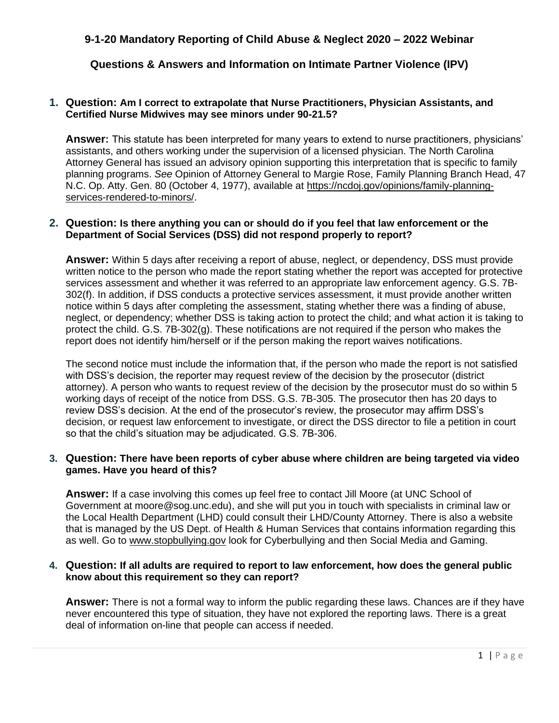# **9-1-20 Mandatory Reporting of Child Abuse & Neglect 2020 – 2022 Webinar**

**Questions & Answers and Information on Intimate Partner Violence (IPV)**

#### **1. Question: Am I correct to extrapolate that Nurse Practitioners, Physician Assistants, and Certified Nurse Midwives may see minors under 90-21.5?**

**Answer:** This statute has been interpreted for many years to extend to nurse practitioners, physicians' assistants, and others working under the supervision of a licensed physician. The North Carolina Attorney General has issued an advisory opinion supporting this interpretation that is specific to family planning programs. *See* Opinion of Attorney General to Margie Rose, Family Planning Branch Head, 47 N.C. Op. Atty. Gen. 80 (October 4, 1977), available at [https://ncdoj.gov/opinions/family-planning](https://ncdoj.gov/opinions/family-planning-services-rendered-to-minors/)[services-rendered-to-minors/.](https://ncdoj.gov/opinions/family-planning-services-rendered-to-minors/)

#### **2. Question: Is there anything you can or should do if you feel that law enforcement or the Department of Social Services (DSS) did not respond properly to report?**

**Answer:** Within 5 days after receiving a report of abuse, neglect, or dependency, DSS must provide written notice to the person who made the report stating whether the report was accepted for protective services assessment and whether it was referred to an appropriate law enforcement agency. G.S. 7B-302(f). In addition, if DSS conducts a protective services assessment, it must provide another written notice within 5 days after completing the assessment, stating whether there was a finding of abuse, neglect, or dependency; whether DSS is taking action to protect the child; and what action it is taking to protect the child. G.S. 7B-302(g). These notifications are not required if the person who makes the report does not identify him/herself or if the person making the report waives notifications.

The second notice must include the information that, if the person who made the report is not satisfied with DSS's decision, the reporter may request review of the decision by the prosecutor (district attorney). A person who wants to request review of the decision by the prosecutor must do so within 5 working days of receipt of the notice from DSS. G.S. 7B-305. The prosecutor then has 20 days to review DSS's decision. At the end of the prosecutor's review, the prosecutor may affirm DSS's decision, or request law enforcement to investigate, or direct the DSS director to file a petition in court so that the child's situation may be adjudicated. G.S. 7B-306.

### **3. Question: There have been reports of cyber abuse where children are being targeted via video games. Have you heard of this?**

**Answer:** If a case involving this comes up feel free to contact Jill Moore (at UNC School of Government at moore@sog.unc.edu), and she will put you in touch with specialists in criminal law or the Local Health Department (LHD) could consult their LHD/County Attorney. There is also a website that is managed by the US Dept. of Health & Human Services that contains information regarding this as well. Go to [www.stopbullying.gov](http://www.stopbullying.gov/) look for Cyberbullying and then Social Media and Gaming.

#### **4. Question: If all adults are required to report to law enforcement, how does the general public know about this requirement so they can report?**

**Answer:** There is not a formal way to inform the public regarding these laws. Chances are if they have never encountered this type of situation, they have not explored the reporting laws. There is a great deal of information on-line that people can access if needed.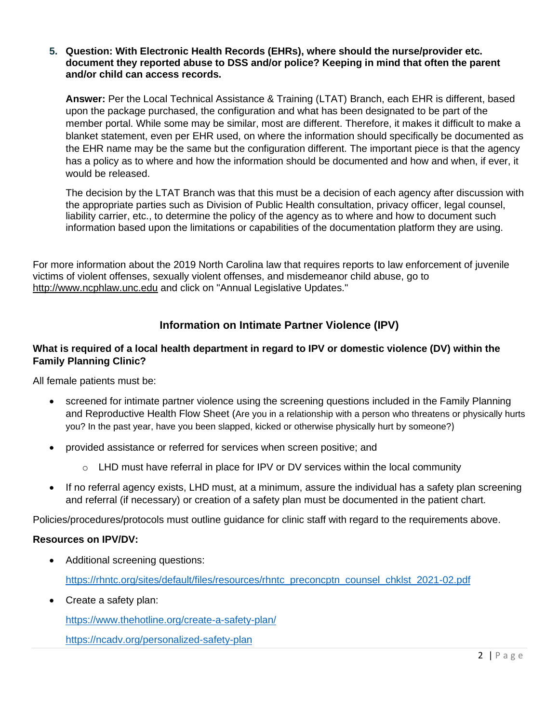#### **5. Question: With Electronic Health Records (EHRs), where should the nurse/provider etc. document they reported abuse to DSS and/or police? Keeping in mind that often the parent and/or child can access records.**

**Answer:** Per the Local Technical Assistance & Training (LTAT) Branch, each EHR is different, based upon the package purchased, the configuration and what has been designated to be part of the member portal. While some may be similar, most are different. Therefore, it makes it difficult to make a blanket statement, even per EHR used, on where the information should specifically be documented as the EHR name may be the same but the configuration different. The important piece is that the agency has a policy as to where and how the information should be documented and how and when, if ever, it would be released.

The decision by the LTAT Branch was that this must be a decision of each agency after discussion with the appropriate parties such as Division of Public Health consultation, privacy officer, legal counsel, liability carrier, etc., to determine the policy of the agency as to where and how to document such information based upon the limitations or capabilities of the documentation platform they are using.

For more information about the 2019 North Carolina law that requires reports to law enforcement of juvenile victims of violent offenses, sexually violent offenses, and misdemeanor child abuse, go to [http://www.ncphlaw.unc.edu](http://www.ncphlaw.unc.edu/) and click on "Annual Legislative Updates."

# **Information on Intimate Partner Violence (IPV)**

## **What is required of a local health department in regard to IPV or domestic violence (DV) within the Family Planning Clinic?**

All female patients must be:

- screened for intimate partner violence using the screening questions included in the Family Planning and Reproductive Health Flow Sheet (Are you in a relationship with a person who threatens or physically hurts you? In the past year, have you been slapped, kicked or otherwise physically hurt by someone?)
- provided assistance or referred for services when screen positive; and
	- o LHD must have referral in place for IPV or DV services within the local community
- If no referral agency exists, LHD must, at a minimum, assure the individual has a safety plan screening and referral (if necessary) or creation of a safety plan must be documented in the patient chart.

Policies/procedures/protocols must outline guidance for clinic staff with regard to the requirements above.

### **Resources on IPV/DV:**

- Additional screening questions: [https://rhntc.org/sites/default/files/resources/rhntc\\_preconcptn\\_counsel\\_chklst\\_2021-02.pdf](https://rhntc.org/sites/default/files/resources/rhntc_preconcptn_counsel_chklst_2021-02.pdf)
- Create a safety plan:

<https://www.thehotline.org/create-a-safety-plan/>

<https://ncadv.org/personalized-safety-plan>